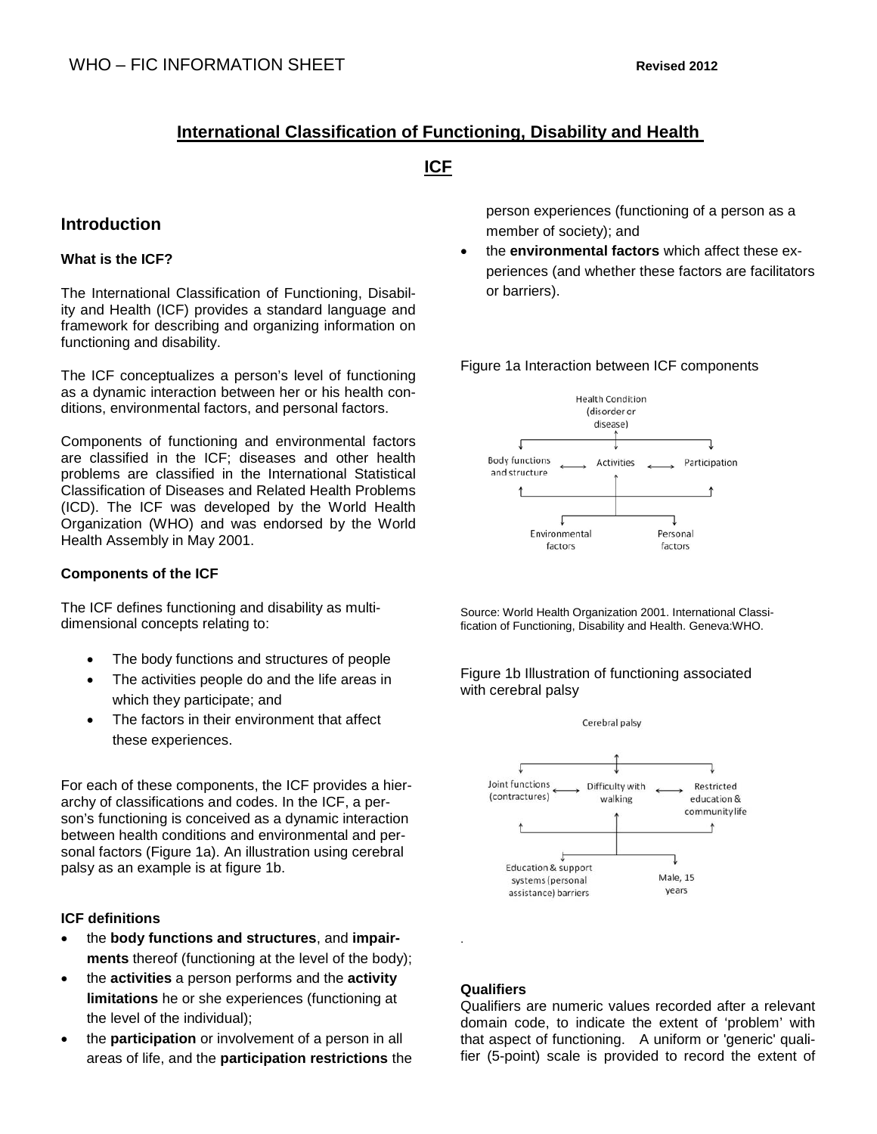## **International Classification of Functioning, Disability and Health**

## **ICF**

## **Introduction**

## **What is the ICF?**

The International Classification of Functioning, Disability and Health (ICF) provides a standard language and framework for describing and organizing information on functioning and disability.

The ICF conceptualizes a person's level of functioning as a dynamic interaction between her or his health conditions, environmental factors, and personal factors.

Components of functioning and environmental factors are classified in the ICF; diseases and other health problems are classified in the International Statistical Classification of Diseases and Related Health Problems (ICD). The ICF was developed by the World Health Organization (WHO) and was endorsed by the World Health Assembly in May 2001.

## **Components of the ICF**

The ICF defines functioning and disability as multidimensional concepts relating to:

- The body functions and structures of people
- The activities people do and the life areas in which they participate; and
- The factors in their environment that affect these experiences.

For each of these components, the ICF provides a hierarchy of classifications and codes. In the ICF, a person's functioning is conceived as a dynamic interaction between health conditions and environmental and personal factors (Figure 1a). An illustration using cerebral palsy as an example is at figure 1b.

## **ICF definitions**

- the **body functions and structures**, and **impairments** thereof (functioning at the level of the body);
- the **activities** a person performs and the **activity limitations** he or she experiences (functioning at the level of the individual);
- the **participation** or involvement of a person in all areas of life, and the **participation restrictions** the

person experiences (functioning of a person as a member of society); and

• the **environmental factors** which affect these experiences (and whether these factors are facilitators or barriers).

Figure 1a Interaction between ICF components



Source: World Health Organization 2001. International Classification of Functioning, Disability and Health. Geneva:WHO.

### Figure 1b Illustration of functioning associated with cerebral palsy



## **Qualifiers**

.

Qualifiers are numeric values recorded after a relevant domain code, to indicate the extent of 'problem' with that aspect of functioning. A uniform or 'generic' qualifier (5-point) scale is provided to record the extent of